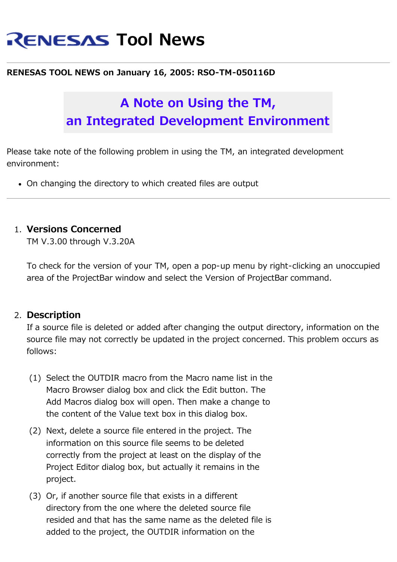# **RENESAS Tool News**

#### **RENESAS TOOL NEWS on January 16, 2005: RSO-TM-050116D**

## **A Note on Using the TM, an Integrated Development Environment**

Please take note of the following problem in using the TM, an integrated development environment:

• On changing the directory to which created files are output

### 1. **Versions Concerned**

TM V.3.00 through V.3.20A

To check for the version of your TM, open a pop-up menu by right-clicking an unoccupied area of the ProjectBar window and select the Version of ProjectBar command.

#### 2. **Description**

If a source file is deleted or added after changing the output directory, information on the source file may not correctly be updated in the project concerned. This problem occurs as follows:

- (1) Select the OUTDIR macro from the Macro name list in the Macro Browser dialog box and click the Edit button. The Add Macros dialog box will open. Then make a change to the content of the Value text box in this dialog box.
- (2) Next, delete a source file entered in the project. The information on this source file seems to be deleted correctly from the project at least on the display of the Project Editor dialog box, but actually it remains in the project.
- (3) Or, if another source file that exists in a different directory from the one where the deleted source file resided and that has the same name as the deleted file is added to the project, the OUTDIR information on the